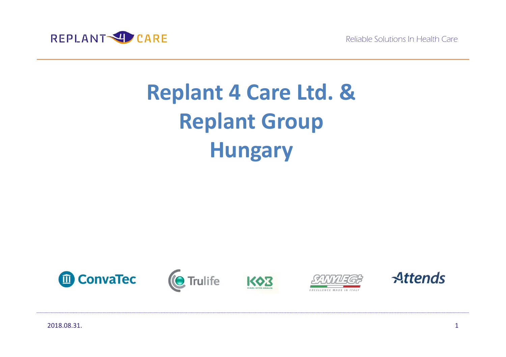

# **Replant 4 Care Ltd. &Replant GroupHungary**









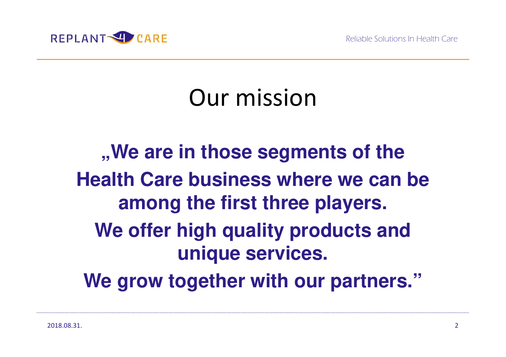

## Our mission

**"We are in those segments of the Health Care business where we can be among the first three players. We offer high quality products and unique services. We grow together with our partners."**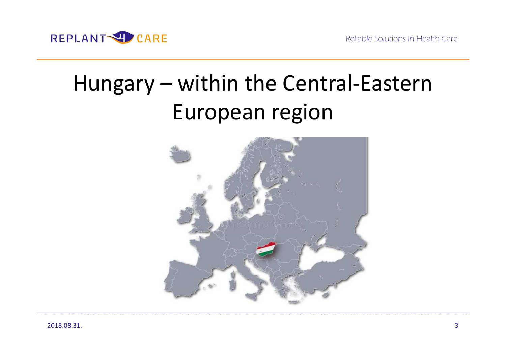

## Hungary – within the Central-Eastern European region

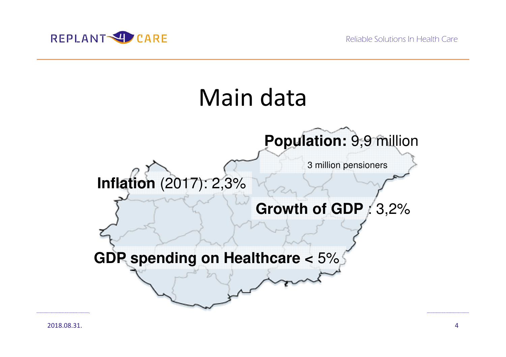

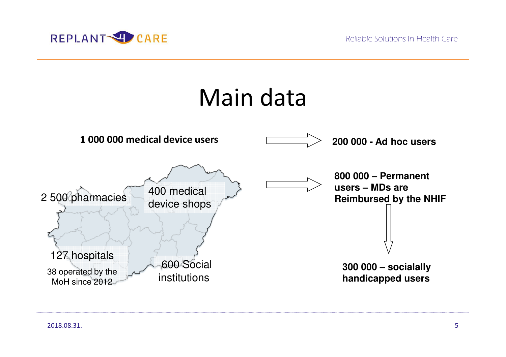



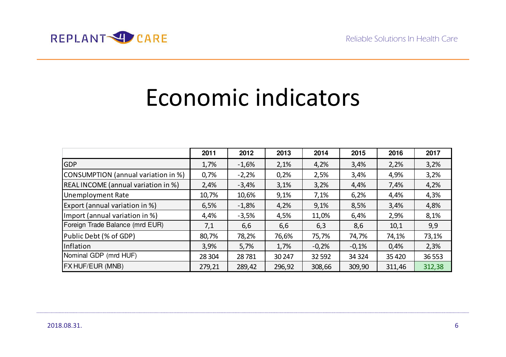

## Economic indicators

|                                       | 2011   | 2012    | 2013   | 2014    | 2015    | 2016    | 2017    |
|---------------------------------------|--------|---------|--------|---------|---------|---------|---------|
| <b>GDP</b>                            | 1,7%   | $-1,6%$ | 2,1%   | 4,2%    | 3,4%    | 2,2%    | 3,2%    |
| CONSUMPTION (annual variation in %)   | 0,7%   | $-2,2%$ | 0,2%   | 2,5%    | 3,4%    | 4,9%    | 3,2%    |
| REAL INCOME (annual variation in %)   | 2,4%   | $-3,4%$ | 3,1%   | 3,2%    | 4,4%    | 7,4%    | 4,2%    |
| <b>Unemployment Rate</b>              | 10,7%  | 10,6%   | 9,1%   | 7,1%    | 6,2%    | 4,4%    | 4,3%    |
| <b>Export (annual variation in %)</b> | 6,5%   | $-1,8%$ | 4,2%   | 9,1%    | 8,5%    | 3,4%    | 4,8%    |
| Import (annual variation in %)        | 4,4%   | $-3,5%$ | 4,5%   | 11,0%   | 6,4%    | 2,9%    | 8,1%    |
| Foreign Trade Balance (mrd EUR)       | 7,1    | 6,6     | 6,6    | 6,3     | 8,6     | 10,1    | 9,9     |
| Public Debt (% of GDP)                | 80,7%  | 78,2%   | 76,6%  | 75,7%   | 74,7%   | 74,1%   | 73,1%   |
| Inflation                             | 3,9%   | 5,7%    | 1,7%   | $-0,2%$ | $-0,1%$ | 0,4%    | 2,3%    |
| Nominal GDP (mrd HUF)                 | 28 304 | 28781   | 30 247 | 32 5 92 | 34 324  | 35 4 20 | 36 5 53 |
| <b>FX HUF/EUR (MNB)</b>               | 279,21 | 289,42  | 296,92 | 308,66  | 309,90  | 311,46  | 312,38  |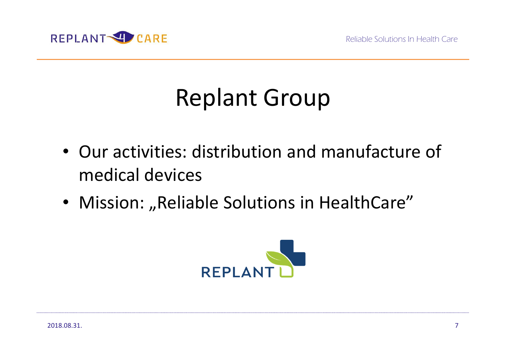

# Replant Group

- Our activities: distribution and manufacture of medical devices
- Mission: "Reliable Solutions in HealthCare"

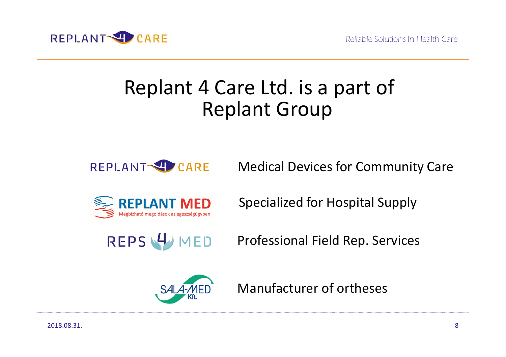

#### Replant 4 Care Ltd. is a part of Replant Group



Medical Devices for Community Care



Specialized for Hospital Supply

REPS 4 MED

Professional Field Rep. Services



Manufacturer of ortheses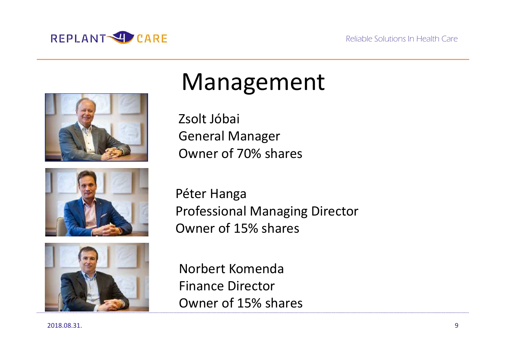







## Management

Zsolt JóbaiGeneral ManagerOwner of 70% shares

Péter Hanga Professional Managing DirectorOwner of 15% shares

Norbert KomendaFinance DirectorOwner of 15% shares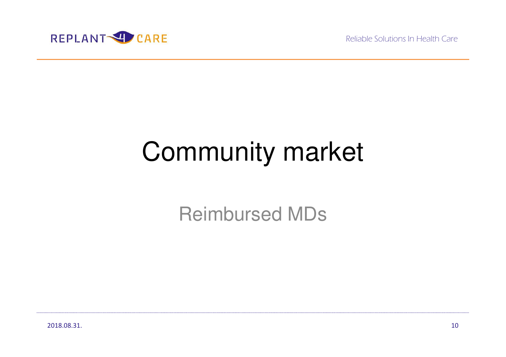Reliable Solutions In Health Care



# Community market

Reimbursed MDs

2018.08.31.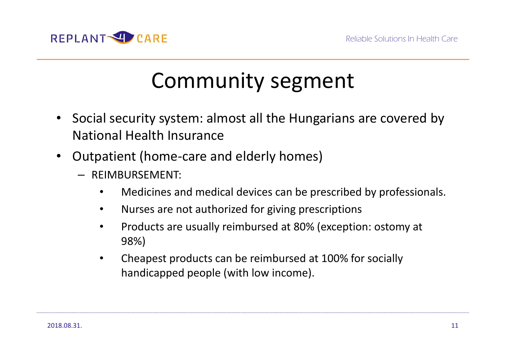

### Community segment

- $\bullet$  Social security system: almost all the Hungarians are covered by National Health Insurance
- $\bullet$  Outpatient (home-care and elderly homes)
	- REIMBURSEMENT:
		- $\bullet$ Medicines and medical devices can be prescribed by professionals.
		- $\bullet$ Nurses are not authorized for giving prescriptions
		- • Products are usually reimbursed at 80% (exception: ostomy at 98%)
		- • Cheapest products can be reimbursed at 100% for socially handicapped people (with low income).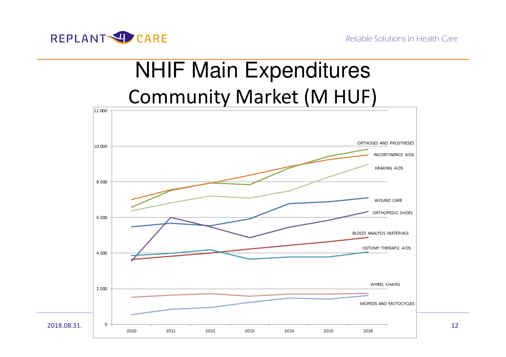

## NHIF Main ExpendituresCommunity Market (M HUF)

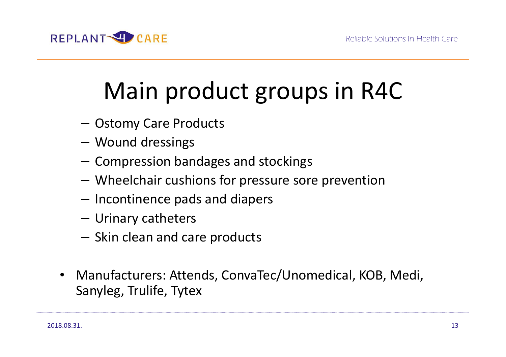

# Main product groups in R4C

- Ostomy Care Products
- –Wound dressings
- $-$  Compression bandages and stockings
- Wheelchair cushions for pressure sore prevention
- $-$  Incontinence pads and diapers
- –Urinary catheters
- $-$  Skin clean and care products
- $\bullet$  Manufacturers: Attends, ConvaTec/Unomedical, KOB, Medi, Sanyleg, Trulife, Tytex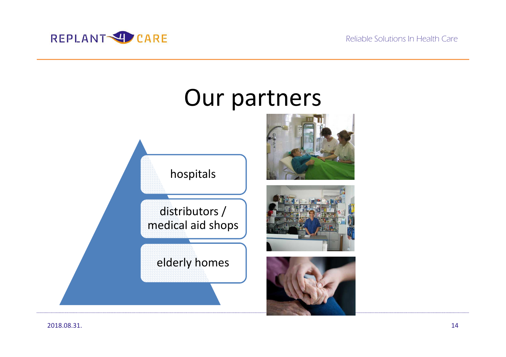



2018.08.31.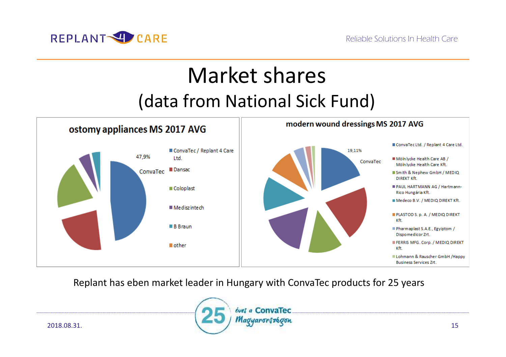

### Market shares(data from National Sick Fund)



Replant has eben market leader in Hungary with ConvaTec products for 25 years

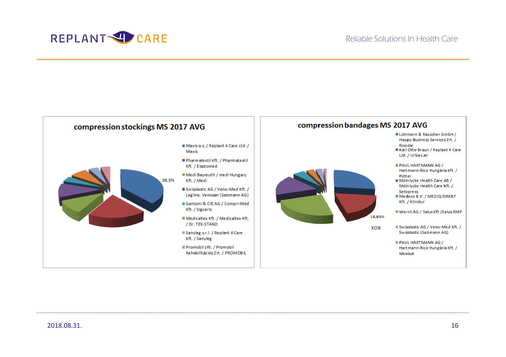

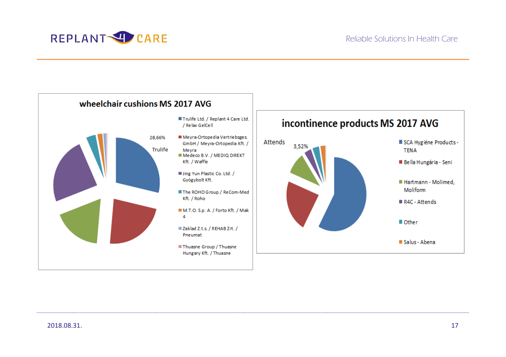



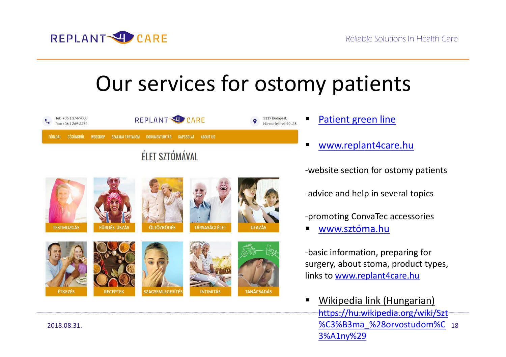

### Our services for ostomy patients



-website section for ostomy patients

-advice and help in several topics

- -promoting ConvaTec accessories
- ▅ www.sztóma.hu

-basic information, preparing for surgery, about stoma, product types, links to www.replant4care.hu

 18%C3%B3ma\_%28orvostudom%C $\blacksquare$  Wikipedia link (Hungarian) https://hu.wikipedia.org/wiki/Szt3%A1ny%29

**TÁRSASÁGI ÉLET TESTMOZGÁS FÜRDÉS, ÚSZÁS ÖLTÖZKÖDÉS UTAZÁS SZAGSEMLEGESÍTÉS ÉTKEZÉS RECEPTEK INTIMITÁS TANÁCSADÁS** 

2018.08.31.